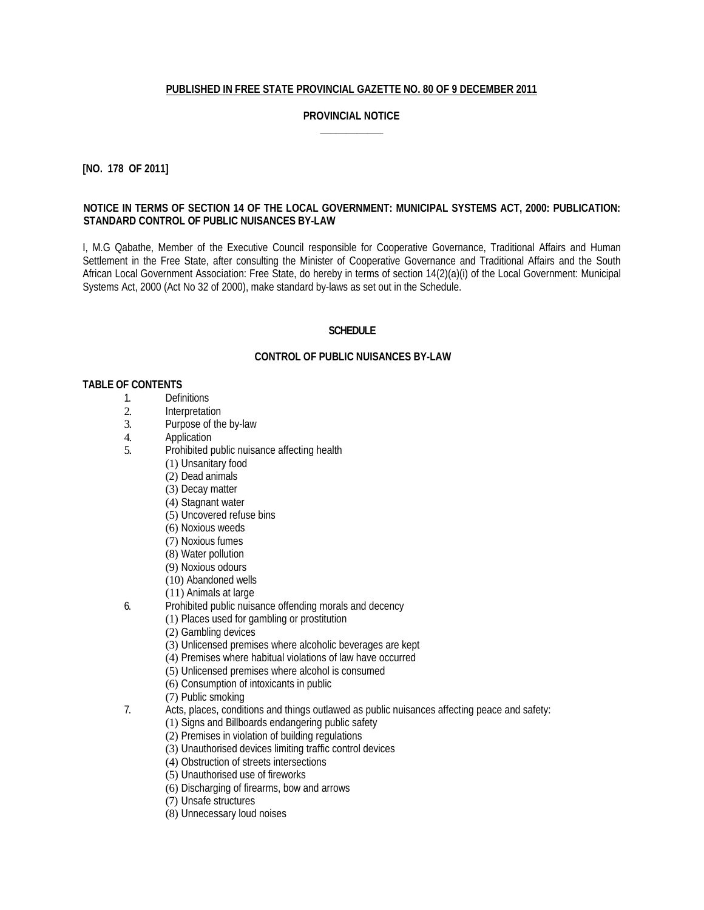# **PUBLISHED IN FREE STATE PROVINCIAL GAZETTE NO. 80 OF 9 DECEMBER 2011**

# **PROVINCIAL NOTICE \_\_\_\_\_\_\_\_\_\_\_\_**

# **[NO. 178 OF 2011]**

## **NOTICE IN TERMS OF SECTION 14 OF THE LOCAL GOVERNMENT: MUNICIPAL SYSTEMS ACT, 2000: PUBLICATION: STANDARD CONTROL OF PUBLIC NUISANCES BY-LAW**

I, M.G Qabathe, Member of the Executive Council responsible for Cooperative Governance, Traditional Affairs and Human Settlement in the Free State, after consulting the Minister of Cooperative Governance and Traditional Affairs and the South African Local Government Association: Free State, do hereby in terms of section 14(2)(a)(i) of the Local Government: Municipal Systems Act, 2000 (Act No 32 of 2000), make standard by-laws as set out in the Schedule.

## **SCHEDULE**

## **CONTROL OF PUBLIC NUISANCES BY-LAW**

### **TABLE OF CONTENTS**

- 
- 1. Definitions<br>2. Interpretati
- 2. Interpretation<br>3. Purpose of the Purpose of the by-law
- 4. Application
- 5. Prohibited public nuisance affecting health
	- (1) Unsanitary food
		- (2) Dead animals
		- (3) Decay matter
		- (4) Stagnant water
		- (5) Uncovered refuse bins
		- (6) Noxious weeds
		- (7) Noxious fumes
		- (8) Water pollution
		- (9) Noxious odours
		- (10) Abandoned wells
		- (11) Animals at large
- 6. Prohibited public nuisance offending morals and decency
	- (1) Places used for gambling or prostitution
		- (2) Gambling devices
		- (3) Unlicensed premises where alcoholic beverages are kept
		- (4) Premises where habitual violations of law have occurred
		- (5) Unlicensed premises where alcohol is consumed
		- (6) Consumption of intoxicants in public
	- (7) Public smoking
- 7. Acts, places, conditions and things outlawed as public nuisances affecting peace and safety:
	- (1) Signs and Billboards endangering public safety
	- (2) Premises in violation of building regulations
	- (3) Unauthorised devices limiting traffic control devices
	- (4) Obstruction of streets intersections
	- (5) Unauthorised use of fireworks
	- (6) Discharging of firearms, bow and arrows
	- (7) Unsafe structures
	- (8) Unnecessary loud noises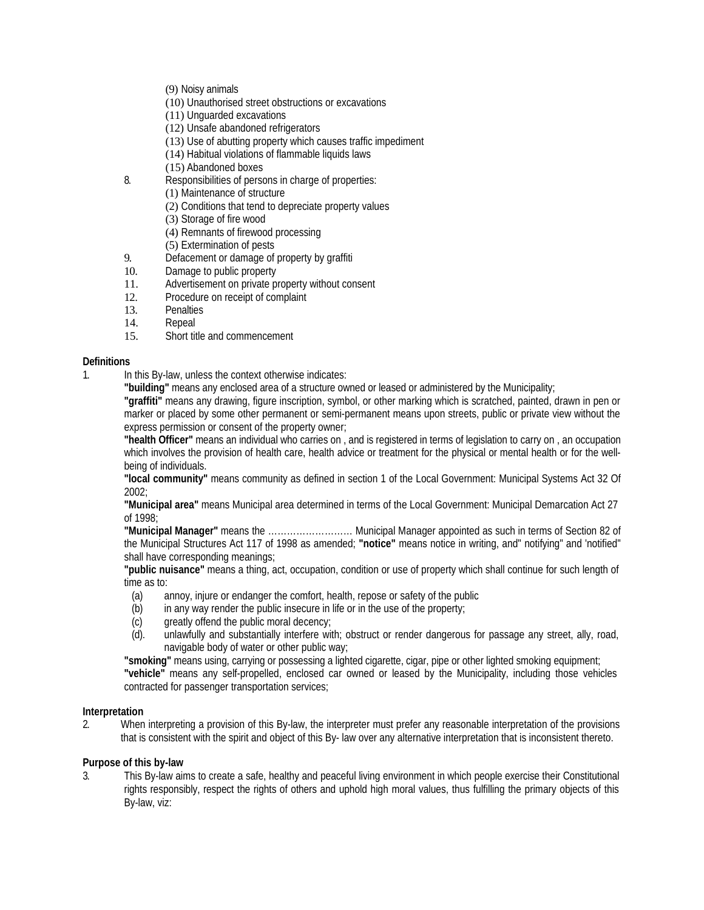- (9) Noisy animals
- (10) Unauthorised street obstructions or excavations
- (11) Unguarded excavations
- (12) Unsafe abandoned refrigerators
- (13) Use of abutting property which causes traffic impediment
- (14) Habitual violations of flammable liquids laws
- (15) Abandoned boxes
- 8. Responsibilities of persons in charge of properties:
	- (1) Maintenance of structure
	- (2) Conditions that tend to depreciate property values
	- (3) Storage of fire wood
	- (4) Remnants of firewood processing
	- (5) Extermination of pests
- 9. Defacement or damage of property by graffition 10. Damage to public property
- 10. Damage to public property<br>11. Advertisement on private pro
- Advertisement on private property without consent
- 12. Procedure on receipt of complaint<br>13. Penalties
- 13. Penalties<br>14. Repeal
- 14. Repeal<br>15. Short tit
- Short title and commencement

# **Definitions**

- 1. In this By-law, unless the context otherwise indicates:
	- **"building"** means any enclosed area of a structure owned or leased or administered by the Municipality;

**"graffiti"** means any drawing, figure inscription, symbol, or other marking which is scratched, painted, drawn in pen or marker or placed by some other permanent or semi-permanent means upon streets, public or private view without the express permission or consent of the property owner;

**"health Officer"** means an individual who carries on , and is registered in terms of legislation to carry on , an occupation which involves the provision of health care, health advice or treatment for the physical or mental health or for the wellbeing of individuals.

**"local community"** means community as defined in section 1 of the Local Government: Municipal Systems Act 32 Of 2002;

**"Municipal area"** means Municipal area determined in terms of the Local Government: Municipal Demarcation Act 27 of 1998;

**"Municipal Manager"** means the ……………………… Municipal Manager appointed as such in terms of Section 82 of the Municipal Structures Act 117 of 1998 as amended; **"notice"** means notice in writing, and" notifying" and 'notified" shall have corresponding meanings;

**"public nuisance"** means a thing, act, occupation, condition or use of property which shall continue for such length of time as to:

- (a) annoy, injure or endanger the comfort, health, repose or safety of the public
- (b) in any way render the public insecure in life or in the use of the property;
- (c) greatly offend the public moral decency;
- (d). unlawfully and substantially interfere with; obstruct or render dangerous for passage any street, ally, road, navigable body of water or other public way;

**"smoking"** means using, carrying or possessing a lighted cigarette, cigar, pipe or other lighted smoking equipment; **"vehicle"** means any self-propelled, enclosed car owned or leased by the Municipality, including those vehicles contracted for passenger transportation services;

# **Interpretation**

2. When interpreting a provision of this By-law, the interpreter must prefer any reasonable interpretation of the provisions that is consistent with the spirit and object of this By- law over any alternative interpretation that is inconsistent thereto.

# **Purpose of this by-law**

3. This By-law aims to create a safe, healthy and peaceful living environment in which people exercise their Constitutional rights responsibly, respect the rights of others and uphold high moral values, thus fulfilling the primary objects of this By-law, viz: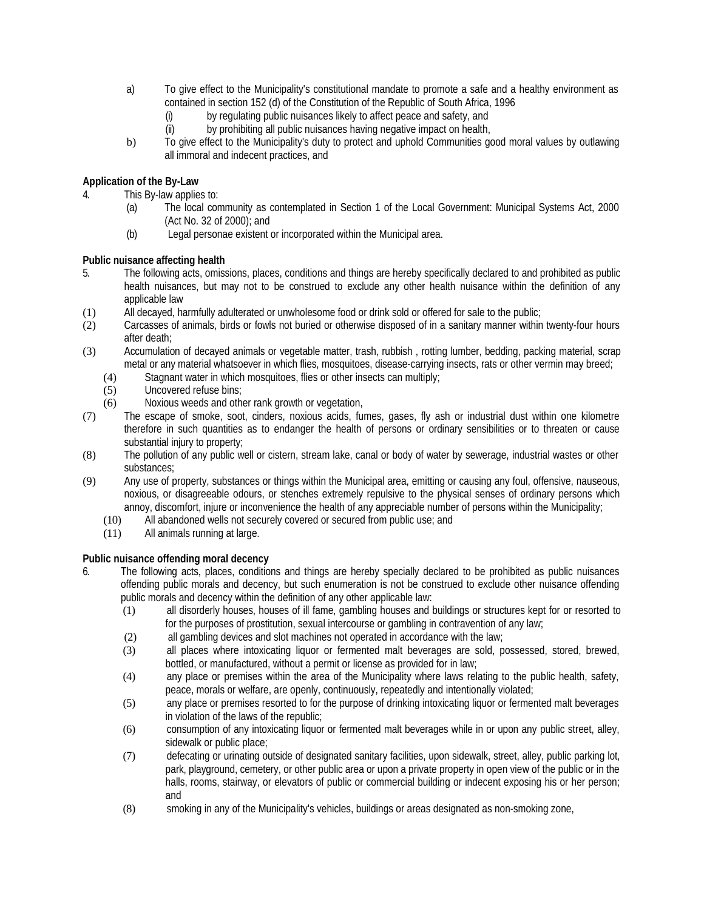- a) To give effect to the Municipality's constitutional mandate to promote a safe and a healthy environment as contained in section 152 (d) of the Constitution of the Republic of South Africa, 1996
	- (i) by regulating public nuisances likely to affect peace and safety, and
	- (ii) by prohibiting all public nuisances having negative impact on health,
- b) To give effect to the Municipality's duty to protect and uphold Communities good moral values by outlawing all immoral and indecent practices, and

# **Application of the By-Law**

4. This By-law applies to:

- (a) The local community as contemplated in Section 1 of the Local Government: Municipal Systems Act, 2000 (Act No. 32 of 2000); and
- (b) Legal personae existent or incorporated within the Municipal area.

# **Public nuisance affecting health**

- 5. The following acts, omissions, places, conditions and things are hereby specifically declared to and prohibited as public health nuisances, but may not to be construed to exclude any other health nuisance within the definition of any applicable law
- (1) All decayed, harmfully adulterated or unwholesome food or drink sold or offered for sale to the public;
- (2) Carcasses of animals, birds or fowls not buried or otherwise disposed of in a sanitary manner within twenty-four hours after death;
- (3) Accumulation of decayed animals or vegetable matter, trash, rubbish , rotting lumber, bedding, packing material, scrap metal or any material whatsoever in which flies, mosquitoes, disease-carrying insects, rats or other vermin may breed;
	- (4) Stagnant water in which mosquitoes, flies or other insects can multiply;
	- (5) Uncovered refuse bins;
	- (6) Noxious weeds and other rank growth or vegetation,
- (7) The escape of smoke, soot, cinders, noxious acids, fumes, gases, fly ash or industrial dust within one kilometre therefore in such quantities as to endanger the health of persons or ordinary sensibilities or to threaten or cause substantial injury to property;
- (8) The pollution of any public well or cistern, stream lake, canal or body of water by sewerage, industrial wastes or other substances;
- (9) Any use of property, substances or things within the Municipal area, emitting or causing any foul, offensive, nauseous, noxious, or disagreeable odours, or stenches extremely repulsive to the physical senses of ordinary persons which annoy, discomfort, injure or inconvenience the health of any appreciable number of persons within the Municipality;
	- (10) All abandoned wells not securely covered or secured from public use; and
	- (11) All animals running at large.

# **Public nuisance offending moral decency**

- 6. The following acts, places, conditions and things are hereby specially declared to be prohibited as public nuisances offending public morals and decency, but such enumeration is not be construed to exclude other nuisance offending public morals and decency within the definition of any other applicable law:
	- (1) all disorderly houses, houses of ill fame, gambling houses and buildings or structures kept for or resorted to for the purposes of prostitution, sexual intercourse or gambling in contravention of any law;
	- (2) all gambling devices and slot machines not operated in accordance with the law;
	- (3) all places where intoxicating liquor or fermented malt beverages are sold, possessed, stored, brewed, bottled, or manufactured, without a permit or license as provided for in law;
	- (4) any place or premises within the area of the Municipality where laws relating to the public health, safety, peace, morals or welfare, are openly, continuously, repeatedly and intentionally violated;
	- (5) any place or premises resorted to for the purpose of drinking intoxicating liquor or fermented malt beverages in violation of the laws of the republic;
	- (6) consumption of any intoxicating liquor or fermented malt beverages while in or upon any public street, alley, sidewalk or public place;
	- (7) defecating or urinating outside of designated sanitary facilities, upon sidewalk, street, alley, public parking lot, park, playground, cemetery, or other public area or upon a private property in open view of the public or in the halls, rooms, stairway, or elevators of public or commercial building or indecent exposing his or her person; and
	- (8) smoking in any of the Municipality's vehicles, buildings or areas designated as non-smoking zone,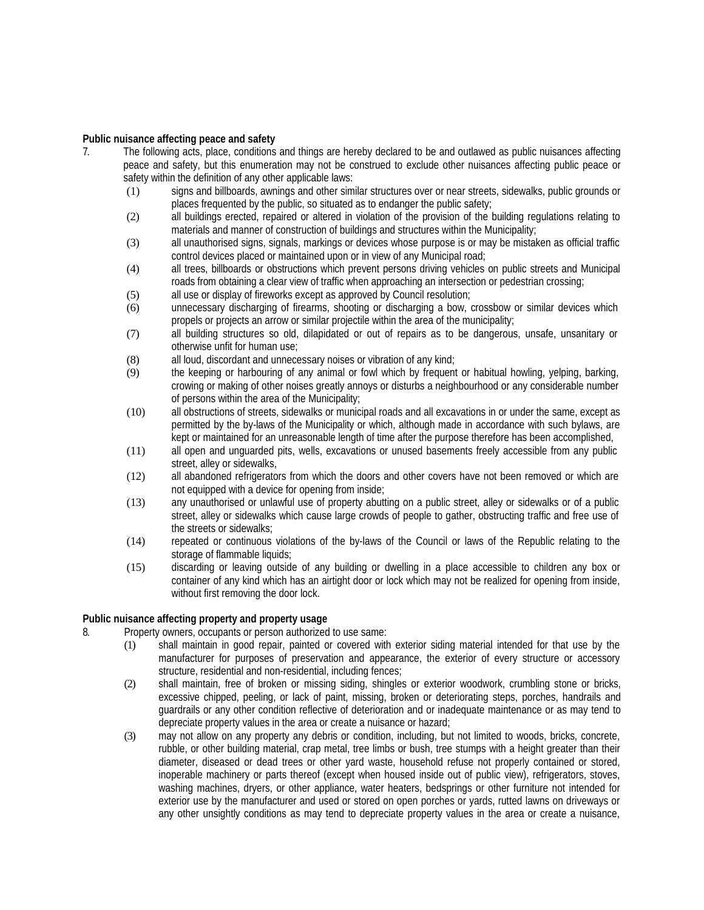### **Public nuisance affecting peace and safety**

- 7. The following acts, place, conditions and things are hereby declared to be and outlawed as public nuisances affecting peace and safety, but this enumeration may not be construed to exclude other nuisances affecting public peace or safety within the definition of any other applicable laws:
	- (1) signs and billboards, awnings and other similar structures over or near streets, sidewalks, public grounds or places frequented by the public, so situated as to endanger the public safety;
	- (2) all buildings erected, repaired or altered in violation of the provision of the building regulations relating to materials and manner of construction of buildings and structures within the Municipality;
	- (3) all unauthorised signs, signals, markings or devices whose purpose is or may be mistaken as official traffic control devices placed or maintained upon or in view of any Municipal road;
	- (4) all trees, billboards or obstructions which prevent persons driving vehicles on public streets and Municipal roads from obtaining a clear view of traffic when approaching an intersection or pedestrian crossing;
	- (5) all use or display of fireworks except as approved by Council resolution;
	- (6) unnecessary discharging of firearms, shooting or discharging a bow, crossbow or similar devices which propels or projects an arrow or similar projectile within the area of the municipality;
	- (7) all building structures so old, dilapidated or out of repairs as to be dangerous, unsafe, unsanitary or otherwise unfit for human use;
	- (8) all loud, discordant and unnecessary noises or vibration of any kind;
	- (9) the keeping or harbouring of any animal or fowl which by frequent or habitual howling, yelping, barking, crowing or making of other noises greatly annoys or disturbs a neighbourhood or any considerable number of persons within the area of the Municipality;
	- (10) all obstructions of streets, sidewalks or municipal roads and all excavations in or under the same, except as permitted by the by-laws of the Municipality or which, although made in accordance with such bylaws, are kept or maintained for an unreasonable length of time after the purpose therefore has been accomplished,
	- (11) all open and unguarded pits, wells, excavations or unused basements freely accessible from any public street, alley or sidewalks,
	- (12) all abandoned refrigerators from which the doors and other covers have not been removed or which are not equipped with a device for opening from inside;
	- (13) any unauthorised or unlawful use of property abutting on a public street, alley or sidewalks or of a public street, alley or sidewalks which cause large crowds of people to gather, obstructing traffic and free use of the streets or sidewalks;
	- (14) repeated or continuous violations of the by-laws of the Council or laws of the Republic relating to the storage of flammable liquids;
	- (15) discarding or leaving outside of any building or dwelling in a place accessible to children any box or container of any kind which has an airtight door or lock which may not be realized for opening from inside, without first removing the door lock.

# **Public nuisance affecting property and property usage**

- 8. Property owners, occupants or person authorized to use same:
	- (1) shall maintain in good repair, painted or covered with exterior siding material intended for that use by the manufacturer for purposes of preservation and appearance, the exterior of every structure or accessory structure, residential and non-residential, including fences;
	- (2) shall maintain, free of broken or missing siding, shingles or exterior woodwork, crumbling stone or bricks, excessive chipped, peeling, or lack of paint, missing, broken or deteriorating steps, porches, handrails and guardrails or any other condition reflective of deterioration and or inadequate maintenance or as may tend to depreciate property values in the area or create a nuisance or hazard;
	- (3) may not allow on any property any debris or condition, including, but not limited to woods, bricks, concrete, rubble, or other building material, crap metal, tree limbs or bush, tree stumps with a height greater than their diameter, diseased or dead trees or other yard waste, household refuse not properly contained or stored, inoperable machinery or parts thereof (except when housed inside out of public view), refrigerators, stoves, washing machines, dryers, or other appliance, water heaters, bedsprings or other furniture not intended for exterior use by the manufacturer and used or stored on open porches or yards, rutted lawns on driveways or any other unsightly conditions as may tend to depreciate property values in the area or create a nuisance,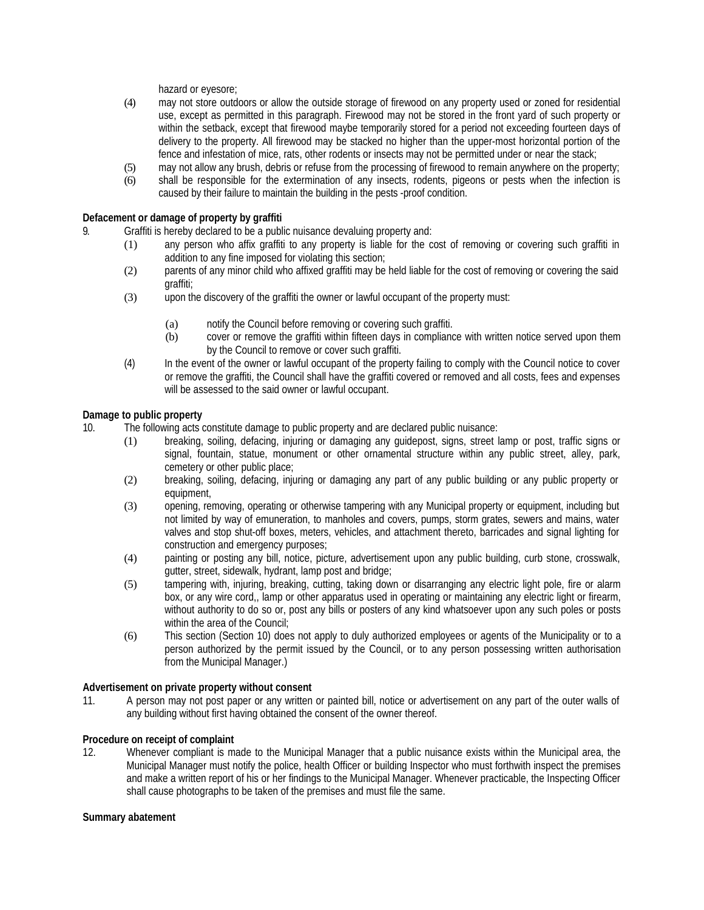hazard or eyesore;

- (4) may not store outdoors or allow the outside storage of firewood on any property used or zoned for residential use, except as permitted in this paragraph. Firewood may not be stored in the front yard of such property or within the setback, except that firewood maybe temporarily stored for a period not exceeding fourteen days of delivery to the property. All firewood may be stacked no higher than the upper-most horizontal portion of the fence and infestation of mice, rats, other rodents or insects may not be permitted under or near the stack;
- (5) may not allow any brush, debris or refuse from the processing of firewood to remain anywhere on the property;
- (6) shall be responsible for the extermination of any insects, rodents, pigeons or pests when the infection is caused by their failure to maintain the building in the pests -proof condition.

## **Defacement or damage of property by graffiti**

9. Graffiti is hereby declared to be a public nuisance devaluing property and:

- (1) any person who affix graffiti to any property is liable for the cost of removing or covering such graffiti in addition to any fine imposed for violating this section;
- (2) parents of any minor child who affixed graffiti may be held liable for the cost of removing or covering the said graffiti;
- (3) upon the discovery of the graffiti the owner or lawful occupant of the property must:
	- (a) notify the Council before removing or covering such graffiti.
	- (b) cover or remove the graffiti within fifteen days in compliance with written notice served upon them by the Council to remove or cover such graffiti.
- (4) In the event of the owner or lawful occupant of the property failing to comply with the Council notice to cover or remove the graffiti, the Council shall have the graffiti covered or removed and all costs, fees and expenses will be assessed to the said owner or lawful occupant.

## **Damage to public property**

- 10. The following acts constitute damage to public property and are declared public nuisance:
	- (1) breaking, soiling, defacing, injuring or damaging any guidepost, signs, street lamp or post, traffic signs or signal, fountain, statue, monument or other ornamental structure within any public street, alley, park, cemetery or other public place;
	- (2) breaking, soiling, defacing, injuring or damaging any part of any public building or any public property or equipment,
	- (3) opening, removing, operating or otherwise tampering with any Municipal property or equipment, including but not limited by way of emuneration, to manholes and covers, pumps, storm grates, sewers and mains, water valves and stop shut-off boxes, meters, vehicles, and attachment thereto, barricades and signal lighting for construction and emergency purposes;
	- (4) painting or posting any bill, notice, picture, advertisement upon any public building, curb stone, crosswalk, gutter, street, sidewalk, hydrant, lamp post and bridge;
	- (5) tampering with, injuring, breaking, cutting, taking down or disarranging any electric light pole, fire or alarm box, or any wire cord,, lamp or other apparatus used in operating or maintaining any electric light or firearm, without authority to do so or, post any bills or posters of any kind whatsoever upon any such poles or posts within the area of the Council:
	- (6) This section (Section 10) does not apply to duly authorized employees or agents of the Municipality or to a person authorized by the permit issued by the Council, or to any person possessing written authorisation from the Municipal Manager.)

### **Advertisement on private property without consent**

11. A person may not post paper or any written or painted bill, notice or advertisement on any part of the outer walls of any building without first having obtained the consent of the owner thereof.

### **Procedure on receipt of complaint**

12. Whenever compliant is made to the Municipal Manager that a public nuisance exists within the Municipal area, the Municipal Manager must notify the police, health Officer or building Inspector who must forthwith inspect the premises and make a written report of his or her findings to the Municipal Manager. Whenever practicable, the Inspecting Officer shall cause photographs to be taken of the premises and must file the same.

### **Summary abatement**